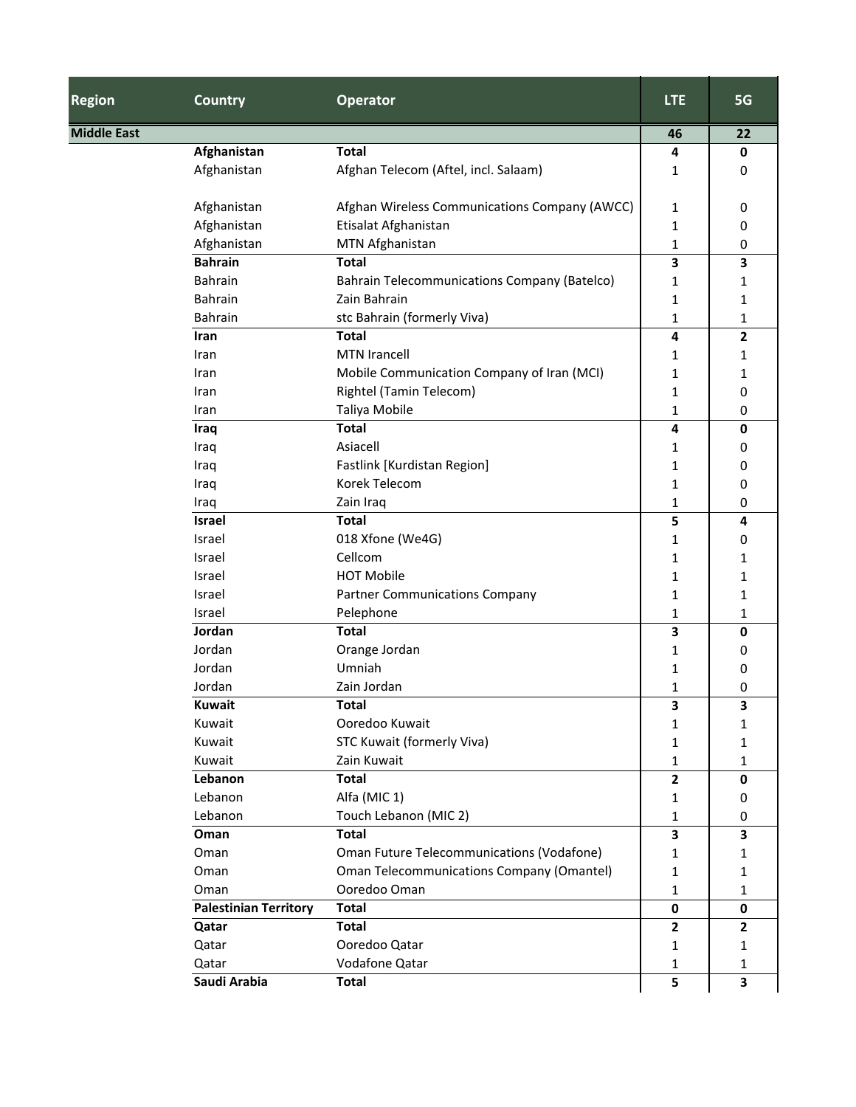| <b>Region</b>      | <b>Country</b>               | <b>Operator</b>                                     | <b>LTE</b>   | 5G                      |
|--------------------|------------------------------|-----------------------------------------------------|--------------|-------------------------|
| <b>Middle East</b> |                              |                                                     |              | 22                      |
|                    | Afghanistan                  | <b>Total</b>                                        | 4            | $\mathbf 0$             |
|                    | Afghanistan                  | Afghan Telecom (Aftel, incl. Salaam)                | 1            | 0                       |
|                    | Afghanistan                  | Afghan Wireless Communications Company (AWCC)       | $\mathbf{1}$ | 0                       |
|                    | Afghanistan                  | Etisalat Afghanistan                                | 1            | 0                       |
|                    | Afghanistan                  | MTN Afghanistan                                     | 1            | 0                       |
|                    | <b>Bahrain</b>               | <b>Total</b>                                        | 3            | 3                       |
|                    | <b>Bahrain</b>               | <b>Bahrain Telecommunications Company (Batelco)</b> | 1            | 1                       |
|                    | <b>Bahrain</b>               | Zain Bahrain                                        | 1            | 1                       |
|                    | Bahrain                      | stc Bahrain (formerly Viva)                         | 1            | 1                       |
|                    | Iran                         | <b>Total</b>                                        | 4            | $\overline{\mathbf{2}}$ |
|                    | Iran                         | <b>MTN Irancell</b>                                 | 1            | 1                       |
|                    | Iran                         | Mobile Communication Company of Iran (MCI)          | 1            | 1                       |
|                    | Iran                         | <b>Rightel (Tamin Telecom)</b>                      | 1            | 0                       |
|                    | Iran                         | Taliya Mobile                                       | 1            | 0                       |
|                    | Iraq                         | <b>Total</b>                                        | 4            | $\mathbf 0$             |
|                    | Iraq                         | Asiacell                                            | 1            | 0                       |
|                    | Iraq                         | Fastlink [Kurdistan Region]                         | 1            | 0                       |
|                    | Iraq                         | Korek Telecom                                       | $\mathbf{1}$ | 0                       |
|                    | Iraq                         | Zain Iraq                                           | 1            | 0                       |
|                    | <b>Israel</b>                | <b>Total</b>                                        | 5            | 4                       |
|                    | Israel                       | 018 Xfone (We4G)                                    | 1            | 0                       |
|                    | Israel                       | Cellcom                                             | 1            | 1                       |
|                    | Israel                       | <b>HOT Mobile</b>                                   | $\mathbf{1}$ | 1                       |
|                    | Israel                       | <b>Partner Communications Company</b>               | 1            | 1                       |
|                    | Israel                       | Pelephone                                           | 1            | 1                       |
|                    | Jordan                       | <b>Total</b>                                        | 3            | 0                       |
|                    | Jordan                       | Orange Jordan                                       | 1            | 0                       |
|                    | Jordan                       | Umniah                                              | 1            | 0                       |
|                    | Jordan                       | Zain Jordan                                         | 1            | 0                       |
|                    | <b>Kuwait</b>                | Total                                               | <b>J</b>     | <b>S</b>                |
|                    | Kuwait                       | Ooredoo Kuwait                                      | $\mathbf{1}$ | 1                       |
|                    | Kuwait                       | STC Kuwait (formerly Viva)                          | $\mathbf 1$  | 1                       |
|                    | Kuwait                       | Zain Kuwait                                         | $\mathbf{1}$ | 1                       |
|                    | Lebanon                      | <b>Total</b>                                        | $\mathbf{2}$ | $\mathbf 0$             |
|                    | Lebanon                      | Alfa (MIC 1)                                        | 1            | 0                       |
|                    | Lebanon                      | Touch Lebanon (MIC 2)                               | $\mathbf{1}$ | 0                       |
|                    | Oman                         | <b>Total</b>                                        | 3            | 3                       |
|                    | Oman                         | Oman Future Telecommunications (Vodafone)           | 1            | 1                       |
|                    | Oman                         | <b>Oman Telecommunications Company (Omantel)</b>    | 1            | 1                       |
|                    | Oman                         | Ooredoo Oman                                        | $\mathbf{1}$ | 1                       |
|                    | <b>Palestinian Territory</b> | <b>Total</b>                                        | $\mathbf 0$  | $\mathbf 0$             |
|                    | Qatar                        | <b>Total</b>                                        | $\mathbf{2}$ | $\mathbf{2}$            |
|                    | Qatar                        | Ooredoo Qatar                                       | $\mathbf{1}$ | 1                       |
|                    | Qatar                        | Vodafone Qatar                                      | 1            | 1                       |
|                    | Saudi Arabia                 | <b>Total</b>                                        | 5            | $\overline{\mathbf{3}}$ |